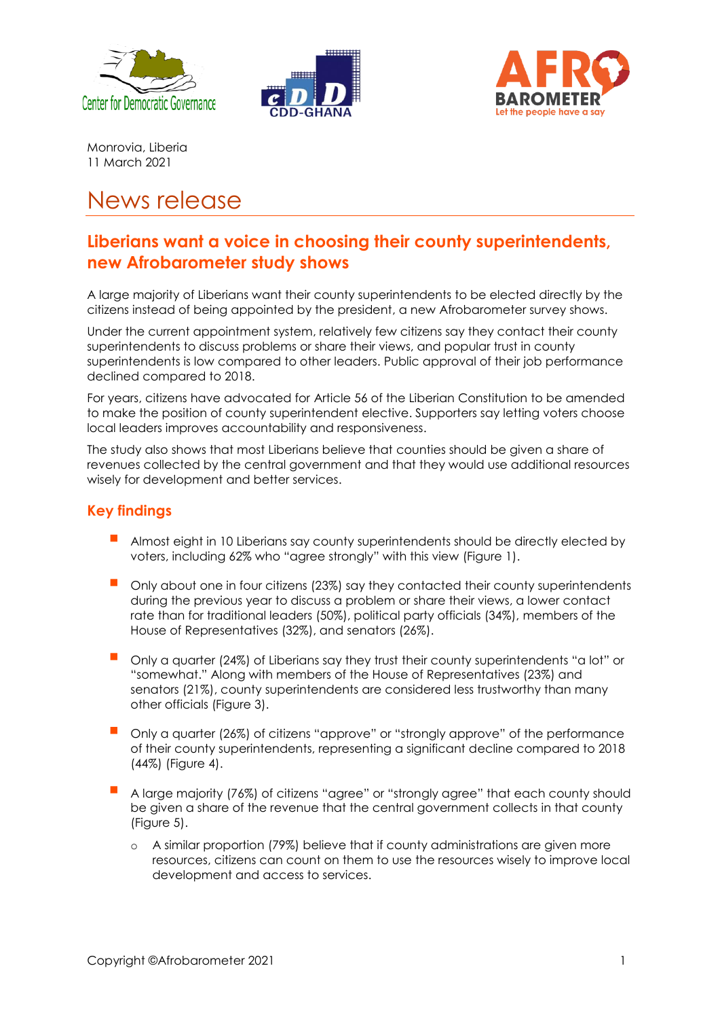





Monrovia, Liberia 11 March 2021

# News release

## **Liberians want a voice in choosing their county superintendents, new Afrobarometer study shows**

A large majority of Liberians want their county superintendents to be elected directly by the citizens instead of being appointed by the president, a new Afrobarometer survey shows.

Under the current appointment system, relatively few citizens say they contact their county superintendents to discuss problems or share their views, and popular trust in county superintendents is low compared to other leaders. Public approval of their job performance declined compared to 2018.

For years, citizens have advocated for Article 56 of the Liberian Constitution to be amended to make the position of county superintendent elective. Supporters say letting voters choose local leaders improves accountability and responsiveness.

The study also shows that most Liberians believe that counties should be given a share of revenues collected by the central government and that they would use additional resources wisely for development and better services.

### **Key findings**

- Almost eight in 10 Liberians say county superintendents should be directly elected by voters, including 62% who "agree strongly" with this view (Figure 1).
- Only about one in four citizens (23%) say they contacted their county superintendents during the previous year to discuss a problem or share their views, a lower contact rate than for traditional leaders (50%), political party officials (34%), members of the House of Representatives (32%), and senators (26%).
- Only a quarter (24%) of Liberians say they trust their county superintendents "a lot" or "somewhat." Along with members of the House of Representatives (23%) and senators (21%), county superintendents are considered less trustworthy than many other officials (Figure 3).
- Only a quarter (26%) of citizens "approve" or "strongly approve" of the performance of their county superintendents, representing a significant decline compared to 2018 (44%) (Figure 4).
- A large majority (76%) of citizens "agree" or "strongly agree" that each county should be given a share of the revenue that the central government collects in that county (Figure 5).
	- o A similar proportion (79%) believe that if county administrations are given more resources, citizens can count on them to use the resources wisely to improve local development and access to services.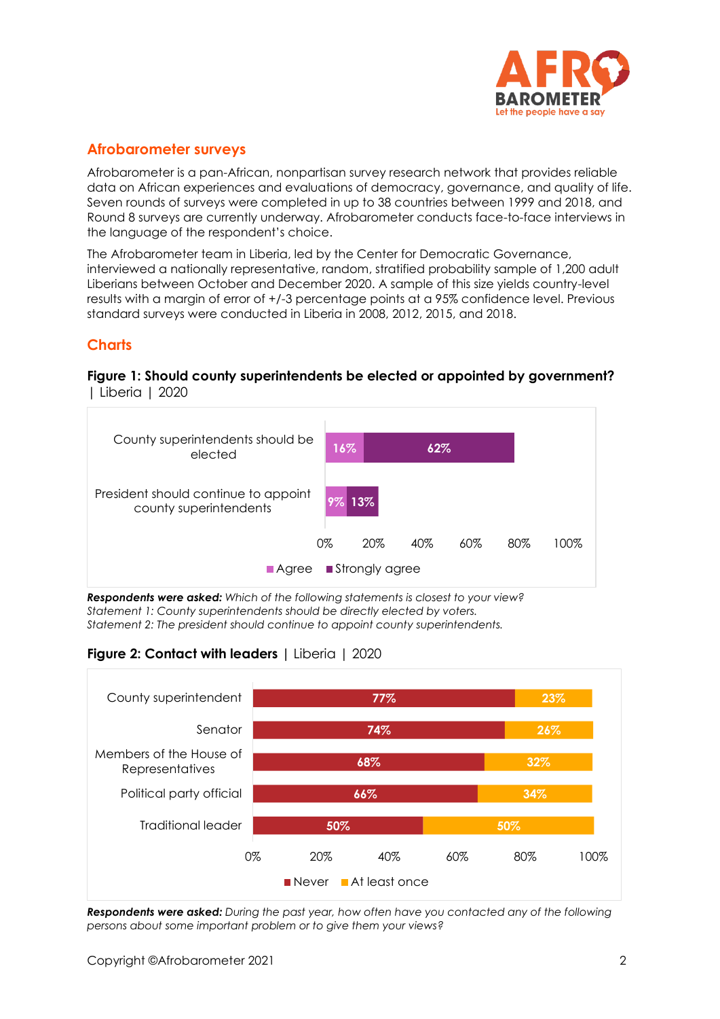

### **Afrobarometer surveys**

Afrobarometer is a pan-African, nonpartisan survey research network that provides reliable data on African experiences and evaluations of democracy, governance, and quality of life. Seven rounds of surveys were completed in up to 38 countries between 1999 and 2018, and Round 8 surveys are currently underway. Afrobarometer conducts face-to-face interviews in the language of the respondent's choice.

The Afrobarometer team in Liberia, led by the Center for Democratic Governance, interviewed a nationally representative, random, stratified probability sample of 1,200 adult Liberians between October and December 2020. A sample of this size yields country-level results with a margin of error of +/-3 percentage points at a 95% confidence level. Previous standard surveys were conducted in Liberia in 2008, 2012, 2015, and 2018.

#### **Charts**

#### **Figure 1: Should county superintendents be elected or appointed by government?**  | Liberia | 2020



*Respondents were asked: Which of the following statements is closest to your view? Statement 1: County superintendents should be directly elected by voters. Statement 2: The president should continue to appoint county superintendents.*





*Respondents were asked: During the past year, how often have you contacted any of the following persons about some important problem or to give them your views?*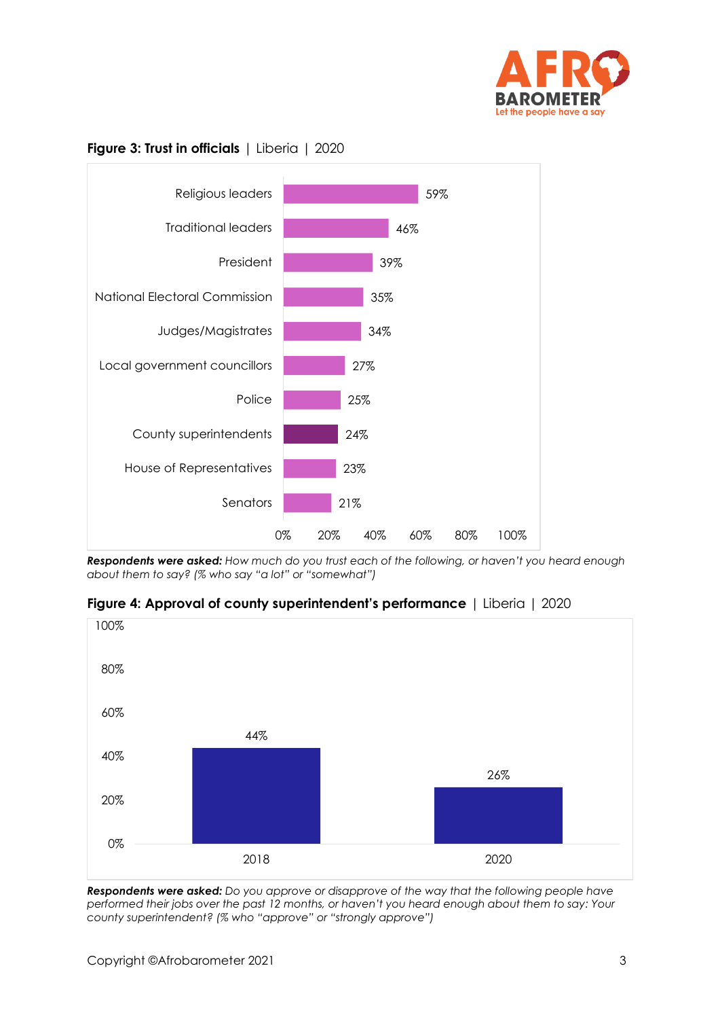





*Respondents were asked: How much do you trust each of the following, or haven't you heard enough about them to say? (% who say "a lot" or "somewhat")*

**Figure 4: Approval of county superintendent's performance** | Liberia | 2020



*Respondents were asked: Do you approve or disapprove of the way that the following people have performed their jobs over the past 12 months, or haven't you heard enough about them to say: Your county superintendent? (% who "approve" or "strongly approve")*